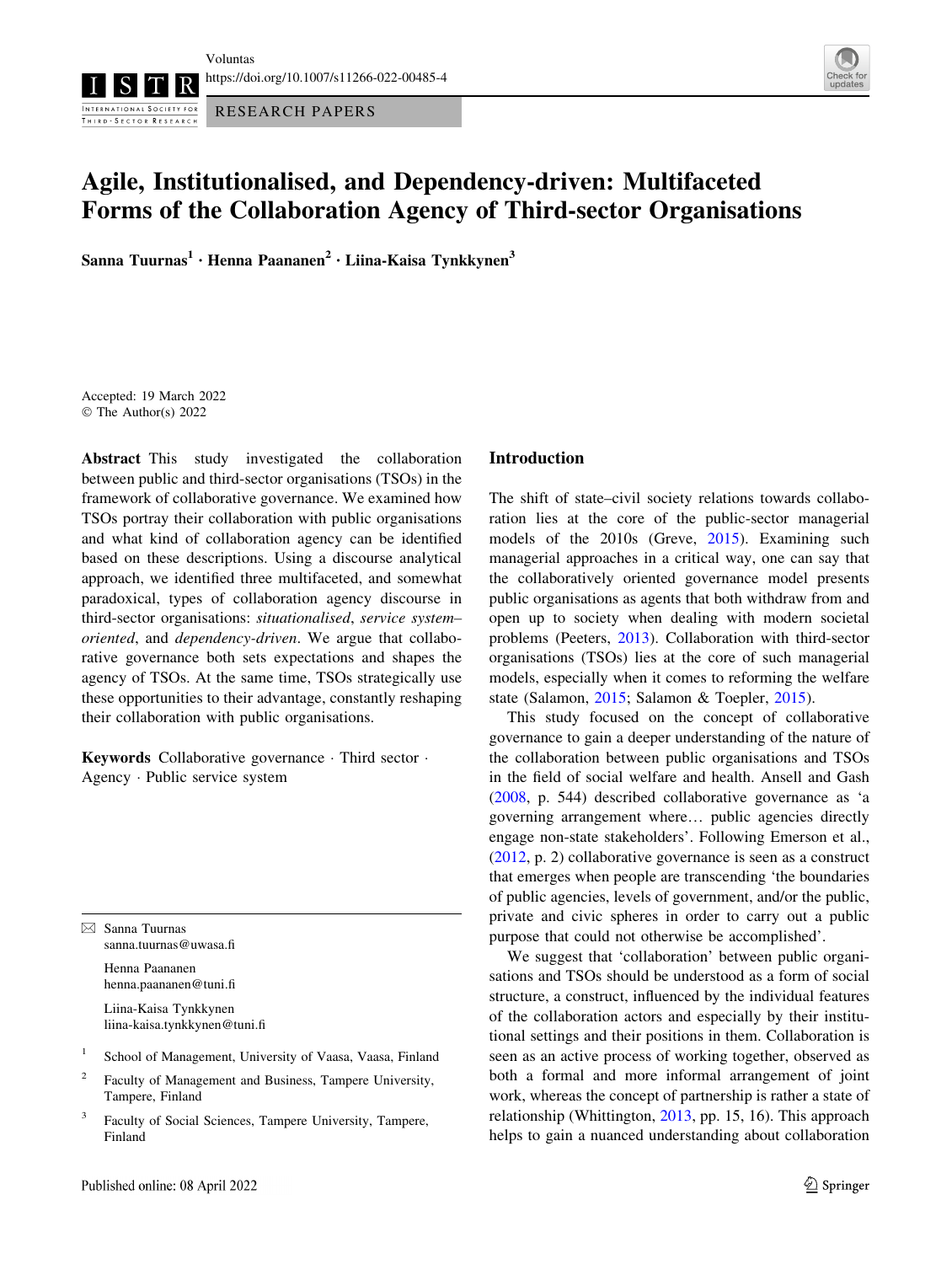INTERNATIONAL SOCIETY FOR RESEARCH PAPERS THIRD - SECTOR RESEARCH



# Agile, Institutionalised, and Dependency-driven: Multifaceted Forms of the Collaboration Agency of Third-sector Organisations

Sanna Tuurnas<sup>1</sup> • Henna Paananen<sup>2</sup> • Liina-Kaisa Tynkkynen<sup>3</sup>

Accepted: 19 March 2022 © The Author(s) 2022

Abstract This study investigated the collaboration between public and third-sector organisations (TSOs) in the framework of collaborative governance. We examined how TSOs portray their collaboration with public organisations and what kind of collaboration agency can be identified based on these descriptions. Using a discourse analytical approach, we identified three multifaceted, and somewhat paradoxical, types of collaboration agency discourse in third-sector organisations: situationalised, service system– oriented, and dependency-driven. We argue that collaborative governance both sets expectations and shapes the agency of TSOs. At the same time, TSOs strategically use these opportunities to their advantage, constantly reshaping their collaboration with public organisations.

Keywords Collaborative governance · Third sector · Agency - Public service system

 $\boxtimes$  Sanna Tuurnas sanna.tuurnas@uwasa.fi

> Henna Paananen henna.paananen@tuni.fi

Liina-Kaisa Tynkkynen liina-kaisa.tynkkynen@tuni.fi

- <sup>1</sup> School of Management, University of Vaasa, Vaasa, Finland
- <sup>2</sup> Faculty of Management and Business, Tampere University, Tampere, Finland
- <sup>3</sup> Faculty of Social Sciences, Tampere University, Tampere, Finland

#### Introduction

The shift of state–civil society relations towards collaboration lies at the core of the public-sector managerial models of the 2010s (Greve, [2015\)](#page-10-0). Examining such managerial approaches in a critical way, one can say that the collaboratively oriented governance model presents public organisations as agents that both withdraw from and open up to society when dealing with modern societal problems (Peeters, [2013\)](#page-11-0). Collaboration with third-sector organisations (TSOs) lies at the core of such managerial models, especially when it comes to reforming the welfare state (Salamon, [2015](#page-11-0); Salamon & Toepler, [2015\)](#page-11-0).

This study focused on the concept of collaborative governance to gain a deeper understanding of the nature of the collaboration between public organisations and TSOs in the field of social welfare and health. Ansell and Gash [\(2008](#page-10-0), p. 544) described collaborative governance as 'a governing arrangement where… public agencies directly engage non-state stakeholders'. Following Emerson et al., [\(2012](#page-10-0), p. 2) collaborative governance is seen as a construct that emerges when people are transcending 'the boundaries of public agencies, levels of government, and/or the public, private and civic spheres in order to carry out a public purpose that could not otherwise be accomplished'.

We suggest that 'collaboration' between public organisations and TSOs should be understood as a form of social structure, a construct, influenced by the individual features of the collaboration actors and especially by their institutional settings and their positions in them. Collaboration is seen as an active process of working together, observed as both a formal and more informal arrangement of joint work, whereas the concept of partnership is rather a state of relationship (Whittington, [2013](#page-11-0), pp. 15, 16). This approach helps to gain a nuanced understanding about collaboration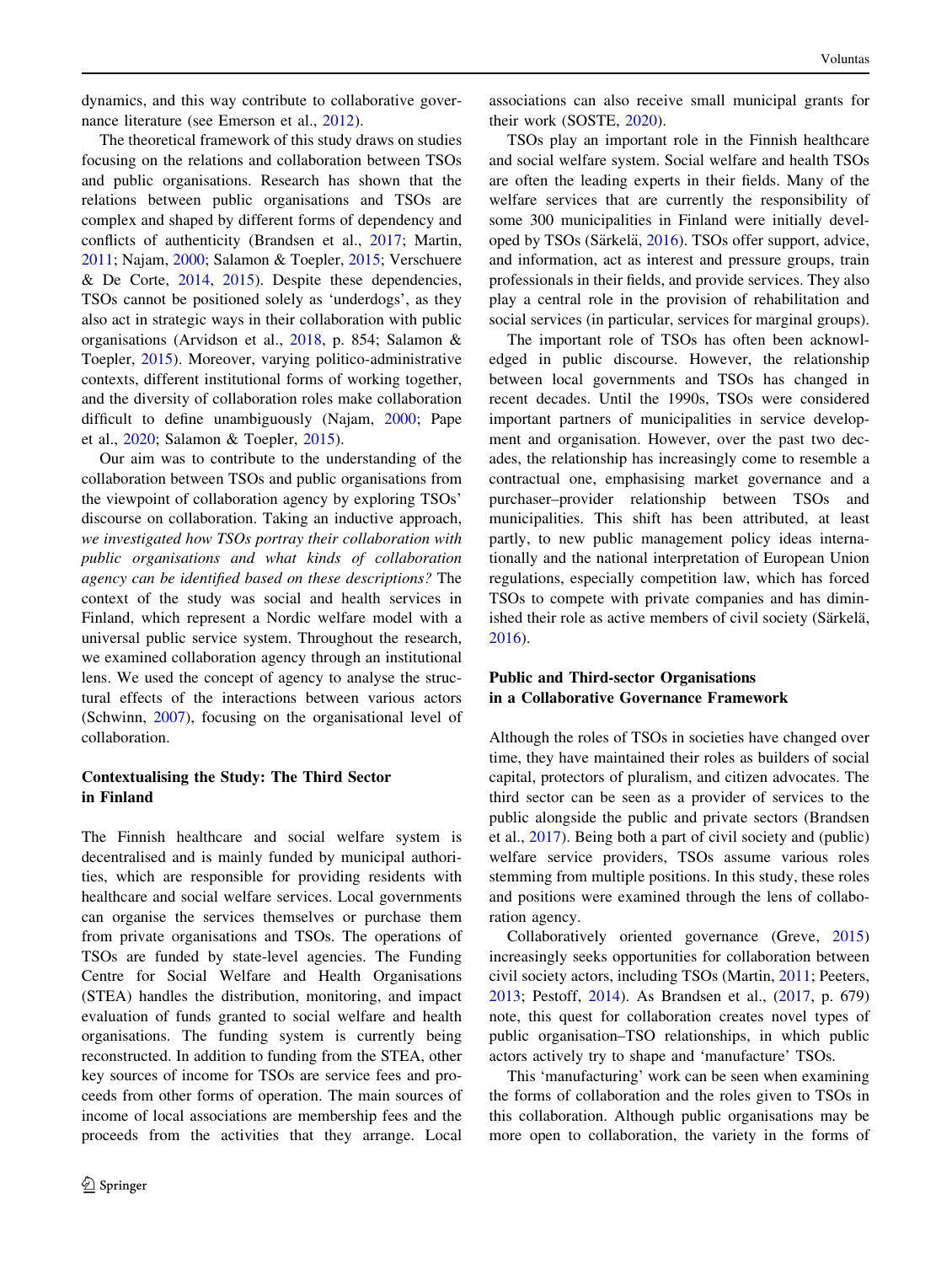dynamics, and this way contribute to collaborative governance literature (see Emerson et al., [2012\)](#page-10-0).

The theoretical framework of this study draws on studies focusing on the relations and collaboration between TSOs and public organisations. Research has shown that the relations between public organisations and TSOs are complex and shaped by different forms of dependency and conflicts of authenticity (Brandsen et al., [2017;](#page-10-0) Martin, [2011;](#page-11-0) Najam, [2000](#page-11-0); Salamon & Toepler, [2015](#page-11-0); Verschuere  $&$  De Corte, [2014](#page-11-0), [2015](#page-11-0)). Despite these dependencies, TSOs cannot be positioned solely as 'underdogs', as they also act in strategic ways in their collaboration with public organisations (Arvidson et al., [2018](#page-10-0), p. 854; Salamon & Toepler, [2015](#page-11-0)). Moreover, varying politico-administrative contexts, different institutional forms of working together, and the diversity of collaboration roles make collaboration difficult to define unambiguously (Najam, [2000;](#page-11-0) Pape et al., [2020](#page-11-0); Salamon & Toepler, [2015\)](#page-11-0).

Our aim was to contribute to the understanding of the collaboration between TSOs and public organisations from the viewpoint of collaboration agency by exploring TSOs' discourse on collaboration. Taking an inductive approach, we investigated how TSOs portray their collaboration with public organisations and what kinds of collaboration agency can be identified based on these descriptions? The context of the study was social and health services in Finland, which represent a Nordic welfare model with a universal public service system. Throughout the research, we examined collaboration agency through an institutional lens. We used the concept of agency to analyse the structural effects of the interactions between various actors (Schwinn, [2007](#page-11-0)), focusing on the organisational level of collaboration.

### Contextualising the Study: The Third Sector in Finland

The Finnish healthcare and social welfare system is decentralised and is mainly funded by municipal authorities, which are responsible for providing residents with healthcare and social welfare services. Local governments can organise the services themselves or purchase them from private organisations and TSOs. The operations of TSOs are funded by state-level agencies. The Funding Centre for Social Welfare and Health Organisations (STEA) handles the distribution, monitoring, and impact evaluation of funds granted to social welfare and health organisations. The funding system is currently being reconstructed. In addition to funding from the STEA, other key sources of income for TSOs are service fees and proceeds from other forms of operation. The main sources of income of local associations are membership fees and the proceeds from the activities that they arrange. Local

associations can also receive small municipal grants for their work (SOSTE, [2020](#page-11-0)).

TSOs play an important role in the Finnish healthcare and social welfare system. Social welfare and health TSOs are often the leading experts in their fields. Many of the welfare services that are currently the responsibility of some 300 municipalities in Finland were initially devel-oped by TSOs (Särkelä, [2016\)](#page-11-0). TSOs offer support, advice, and information, act as interest and pressure groups, train professionals in their fields, and provide services. They also play a central role in the provision of rehabilitation and social services (in particular, services for marginal groups).

The important role of TSOs has often been acknowledged in public discourse. However, the relationship between local governments and TSOs has changed in recent decades. Until the 1990s, TSOs were considered important partners of municipalities in service development and organisation. However, over the past two decades, the relationship has increasingly come to resemble a contractual one, emphasising market governance and a purchaser–provider relationship between TSOs and municipalities. This shift has been attributed, at least partly, to new public management policy ideas internationally and the national interpretation of European Union regulations, especially competition law, which has forced TSOs to compete with private companies and has diminished their role as active members of civil society (Särkelä, [2016](#page-11-0)).

### Public and Third-sector Organisations in a Collaborative Governance Framework

Although the roles of TSOs in societies have changed over time, they have maintained their roles as builders of social capital, protectors of pluralism, and citizen advocates. The third sector can be seen as a provider of services to the public alongside the public and private sectors (Brandsen et al., [2017](#page-10-0)). Being both a part of civil society and (public) welfare service providers, TSOs assume various roles stemming from multiple positions. In this study, these roles and positions were examined through the lens of collaboration agency.

Collaboratively oriented governance (Greve, [2015\)](#page-10-0) increasingly seeks opportunities for collaboration between civil society actors, including TSOs (Martin, [2011;](#page-11-0) Peeters, [2013](#page-11-0); Pestoff, [2014](#page-11-0)). As Brandsen et al., [\(2017](#page-10-0), p. 679) note, this quest for collaboration creates novel types of public organisation–TSO relationships, in which public actors actively try to shape and 'manufacture' TSOs.

This 'manufacturing' work can be seen when examining the forms of collaboration and the roles given to TSOs in this collaboration. Although public organisations may be more open to collaboration, the variety in the forms of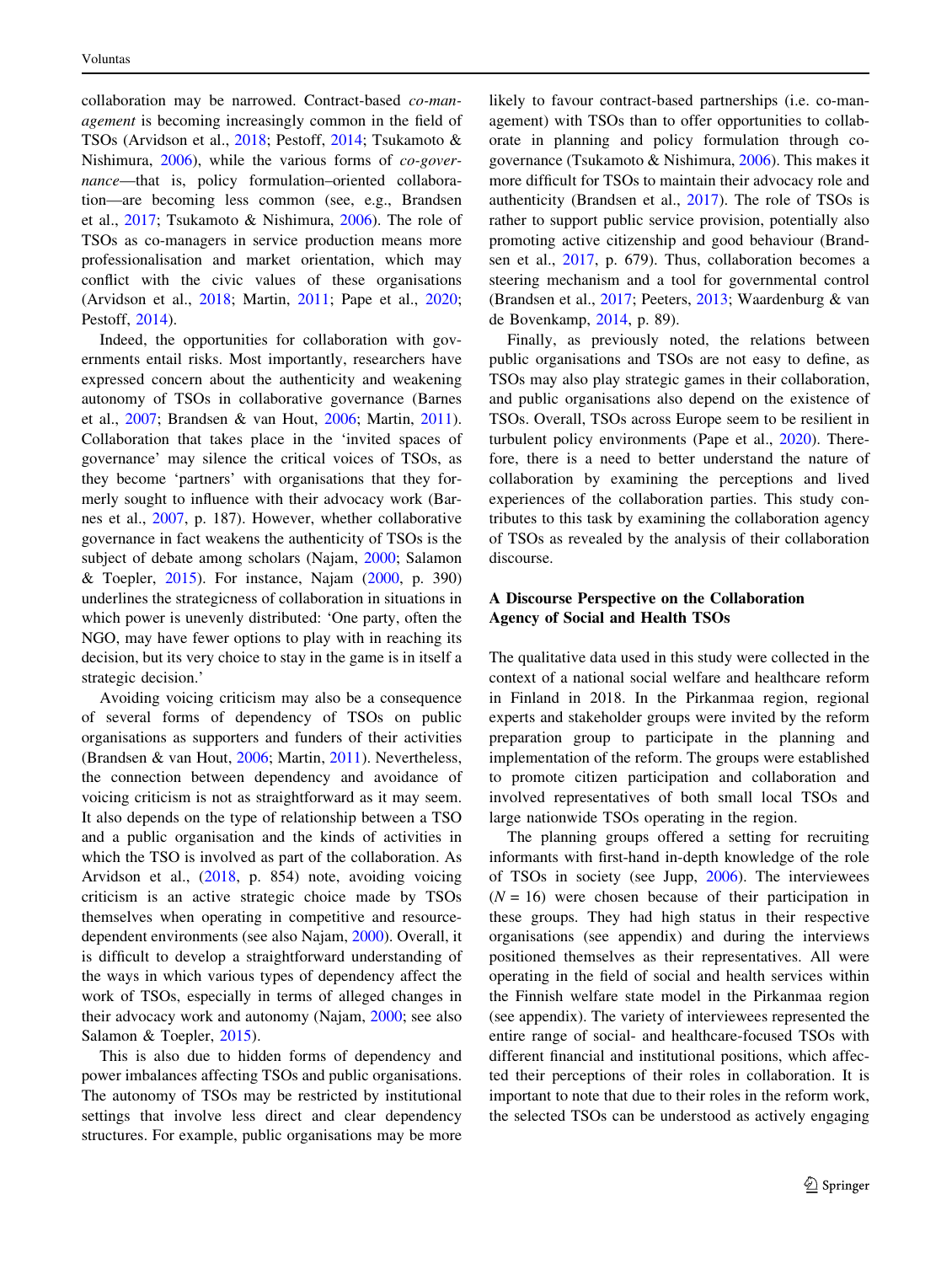collaboration may be narrowed. Contract-based co-management is becoming increasingly common in the field of TSOs (Arvidson et al., [2018;](#page-10-0) Pestoff, [2014;](#page-11-0) Tsukamoto & Nishimura, [2006](#page-11-0)), while the various forms of co-governance—that is, policy formulation–oriented collaboration—are becoming less common (see, e.g., Brandsen et al., [2017;](#page-10-0) Tsukamoto & Nishimura, [2006\)](#page-11-0). The role of TSOs as co-managers in service production means more professionalisation and market orientation, which may conflict with the civic values of these organisations (Arvidson et al., [2018;](#page-10-0) Martin, [2011](#page-11-0); Pape et al., [2020](#page-11-0); Pestoff, [2014](#page-11-0)).

Indeed, the opportunities for collaboration with governments entail risks. Most importantly, researchers have expressed concern about the authenticity and weakening autonomy of TSOs in collaborative governance (Barnes et al., [2007](#page-10-0); Brandsen & van Hout, [2006](#page-10-0); Martin, [2011](#page-11-0)). Collaboration that takes place in the 'invited spaces of governance' may silence the critical voices of TSOs, as they become 'partners' with organisations that they formerly sought to influence with their advocacy work (Barnes et al., [2007](#page-10-0), p. 187). However, whether collaborative governance in fact weakens the authenticity of TSOs is the subject of debate among scholars (Najam, [2000;](#page-11-0) Salamon & Toepler, [2015](#page-11-0)). For instance, Najam [\(2000](#page-11-0), p. 390) underlines the strategicness of collaboration in situations in which power is unevenly distributed: 'One party, often the NGO, may have fewer options to play with in reaching its decision, but its very choice to stay in the game is in itself a strategic decision.'

Avoiding voicing criticism may also be a consequence of several forms of dependency of TSOs on public organisations as supporters and funders of their activities (Brandsen & van Hout, [2006](#page-10-0); Martin, [2011](#page-11-0)). Nevertheless, the connection between dependency and avoidance of voicing criticism is not as straightforward as it may seem. It also depends on the type of relationship between a TSO and a public organisation and the kinds of activities in which the TSO is involved as part of the collaboration. As Arvidson et al., ([2018,](#page-10-0) p. 854) note, avoiding voicing criticism is an active strategic choice made by TSOs themselves when operating in competitive and resourcedependent environments (see also Najam, [2000](#page-11-0)). Overall, it is difficult to develop a straightforward understanding of the ways in which various types of dependency affect the work of TSOs, especially in terms of alleged changes in their advocacy work and autonomy (Najam, [2000;](#page-11-0) see also Salamon & Toepler, [2015](#page-11-0)).

This is also due to hidden forms of dependency and power imbalances affecting TSOs and public organisations. The autonomy of TSOs may be restricted by institutional settings that involve less direct and clear dependency structures. For example, public organisations may be more likely to favour contract-based partnerships (i.e. co-management) with TSOs than to offer opportunities to collaborate in planning and policy formulation through cogovernance (Tsukamoto & Nishimura, [2006](#page-11-0)). This makes it more difficult for TSOs to maintain their advocacy role and authenticity (Brandsen et al., [2017\)](#page-10-0). The role of TSOs is rather to support public service provision, potentially also promoting active citizenship and good behaviour (Brandsen et al., [2017](#page-10-0), p. 679). Thus, collaboration becomes a steering mechanism and a tool for governmental control (Brandsen et al., [2017;](#page-10-0) Peeters, [2013;](#page-11-0) Waardenburg & van de Bovenkamp, [2014](#page-11-0), p. 89).

Finally, as previously noted, the relations between public organisations and TSOs are not easy to define, as TSOs may also play strategic games in their collaboration, and public organisations also depend on the existence of TSOs. Overall, TSOs across Europe seem to be resilient in turbulent policy environments (Pape et al., [2020\)](#page-11-0). Therefore, there is a need to better understand the nature of collaboration by examining the perceptions and lived experiences of the collaboration parties. This study contributes to this task by examining the collaboration agency of TSOs as revealed by the analysis of their collaboration discourse.

### A Discourse Perspective on the Collaboration Agency of Social and Health TSOs

The qualitative data used in this study were collected in the context of a national social welfare and healthcare reform in Finland in 2018. In the Pirkanmaa region, regional experts and stakeholder groups were invited by the reform preparation group to participate in the planning and implementation of the reform. The groups were established to promote citizen participation and collaboration and involved representatives of both small local TSOs and large nationwide TSOs operating in the region.

The planning groups offered a setting for recruiting informants with first-hand in-depth knowledge of the role of TSOs in society (see Jupp, [2006\)](#page-10-0). The interviewees  $(N = 16)$  were chosen because of their participation in these groups. They had high status in their respective organisations (see appendix) and during the interviews positioned themselves as their representatives. All were operating in the field of social and health services within the Finnish welfare state model in the Pirkanmaa region (see appendix). The variety of interviewees represented the entire range of social- and healthcare-focused TSOs with different financial and institutional positions, which affected their perceptions of their roles in collaboration. It is important to note that due to their roles in the reform work, the selected TSOs can be understood as actively engaging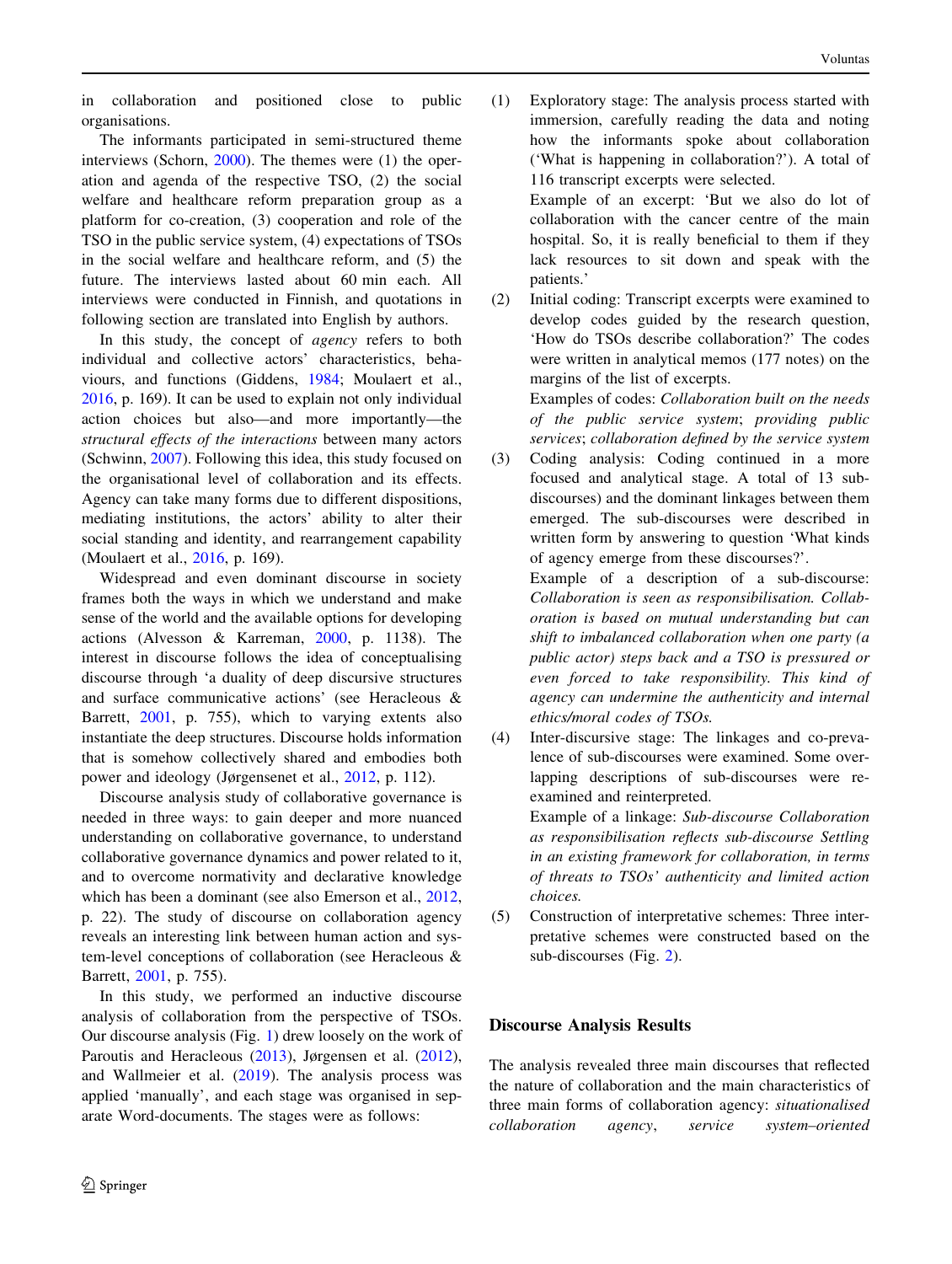in collaboration and positioned close to public organisations.

The informants participated in semi-structured theme interviews (Schorn,  $2000$ ). The themes were (1) the operation and agenda of the respective TSO, (2) the social welfare and healthcare reform preparation group as a platform for co-creation, (3) cooperation and role of the TSO in the public service system, (4) expectations of TSOs in the social welfare and healthcare reform, and (5) the future. The interviews lasted about 60 min each. All interviews were conducted in Finnish, and quotations in following section are translated into English by authors.

In this study, the concept of agency refers to both individual and collective actors' characteristics, behaviours, and functions (Giddens, [1984;](#page-10-0) Moulaert et al., [2016,](#page-11-0) p. 169). It can be used to explain not only individual action choices but also—and more importantly—the structural effects of the interactions between many actors (Schwinn, [2007](#page-11-0)). Following this idea, this study focused on the organisational level of collaboration and its effects. Agency can take many forms due to different dispositions, mediating institutions, the actors' ability to alter their social standing and identity, and rearrangement capability (Moulaert et al., [2016,](#page-11-0) p. 169).

Widespread and even dominant discourse in society frames both the ways in which we understand and make sense of the world and the available options for developing actions (Alvesson & Karreman, [2000](#page-10-0), p. 1138). The interest in discourse follows the idea of conceptualising discourse through 'a duality of deep discursive structures and surface communicative actions' (see Heracleous & Barrett, [2001,](#page-10-0) p. 755), which to varying extents also instantiate the deep structures. Discourse holds information that is somehow collectively shared and embodies both power and ideology (Jørgensenet et al., [2012](#page-10-0), p. 112).

Discourse analysis study of collaborative governance is needed in three ways: to gain deeper and more nuanced understanding on collaborative governance, to understand collaborative governance dynamics and power related to it, and to overcome normativity and declarative knowledge which has been a dominant (see also Emerson et al., [2012,](#page-10-0) p. 22). The study of discourse on collaboration agency reveals an interesting link between human action and system-level conceptions of collaboration (see Heracleous & Barrett, [2001,](#page-10-0) p. 755).

In this study, we performed an inductive discourse analysis of collaboration from the perspective of TSOs. Our discourse analysis (Fig. [1](#page-4-0)) drew loosely on the work of Paroutis and Heracleous ([2013\)](#page-11-0), Jørgensen et al. [\(2012](#page-10-0)), and Wallmeier et al. [\(2019](#page-11-0)). The analysis process was applied 'manually', and each stage was organised in separate Word-documents. The stages were as follows:

(1) Exploratory stage: The analysis process started with immersion, carefully reading the data and noting how the informants spoke about collaboration ('What is happening in collaboration?'). A total of 116 transcript excerpts were selected. Example of an excerpt: 'But we also do lot of

collaboration with the cancer centre of the main hospital. So, it is really beneficial to them if they lack resources to sit down and speak with the patients.'

(2) Initial coding: Transcript excerpts were examined to develop codes guided by the research question, 'How do TSOs describe collaboration?' The codes were written in analytical memos (177 notes) on the margins of the list of excerpts.

> Examples of codes: Collaboration built on the needs of the public service system; providing public services; collaboration defined by the service system

(3) Coding analysis: Coding continued in a more focused and analytical stage. A total of 13 subdiscourses) and the dominant linkages between them emerged. The sub-discourses were described in written form by answering to question 'What kinds of agency emerge from these discourses?'.

Example of a description of a sub-discourse: Collaboration is seen as responsibilisation. Collaboration is based on mutual understanding but can shift to imbalanced collaboration when one party (a public actor) steps back and a TSO is pressured or even forced to take responsibility. This kind of agency can undermine the authenticity and internal ethics/moral codes of TSOs.

(4) Inter-discursive stage: The linkages and co-prevalence of sub-discourses were examined. Some overlapping descriptions of sub-discourses were reexamined and reinterpreted.

> Example of a linkage: Sub-discourse Collaboration as responsibilisation reflects sub-discourse Settling in an existing framework for collaboration, in terms of threats to TSOs' authenticity and limited action choices.

(5) Construction of interpretative schemes: Three interpretative schemes were constructed based on the sub-discourses (Fig. [2](#page-4-0)).

# Discourse Analysis Results

The analysis revealed three main discourses that reflected the nature of collaboration and the main characteristics of three main forms of collaboration agency: situationalised collaboration agency, service system–oriented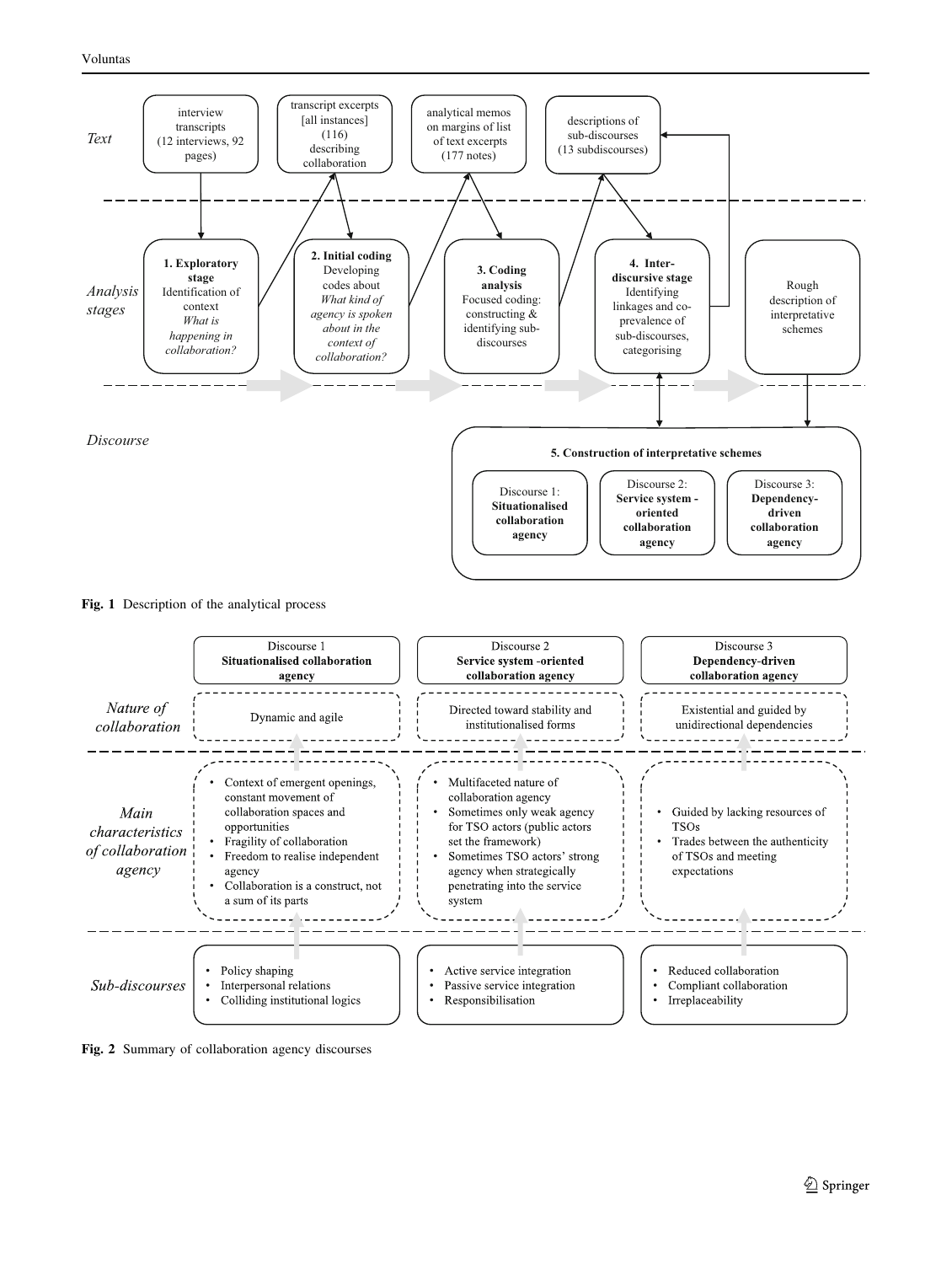<span id="page-4-0"></span>

#### Fig. 1 Description of the analytical process



Fig. 2 Summary of collaboration agency discourses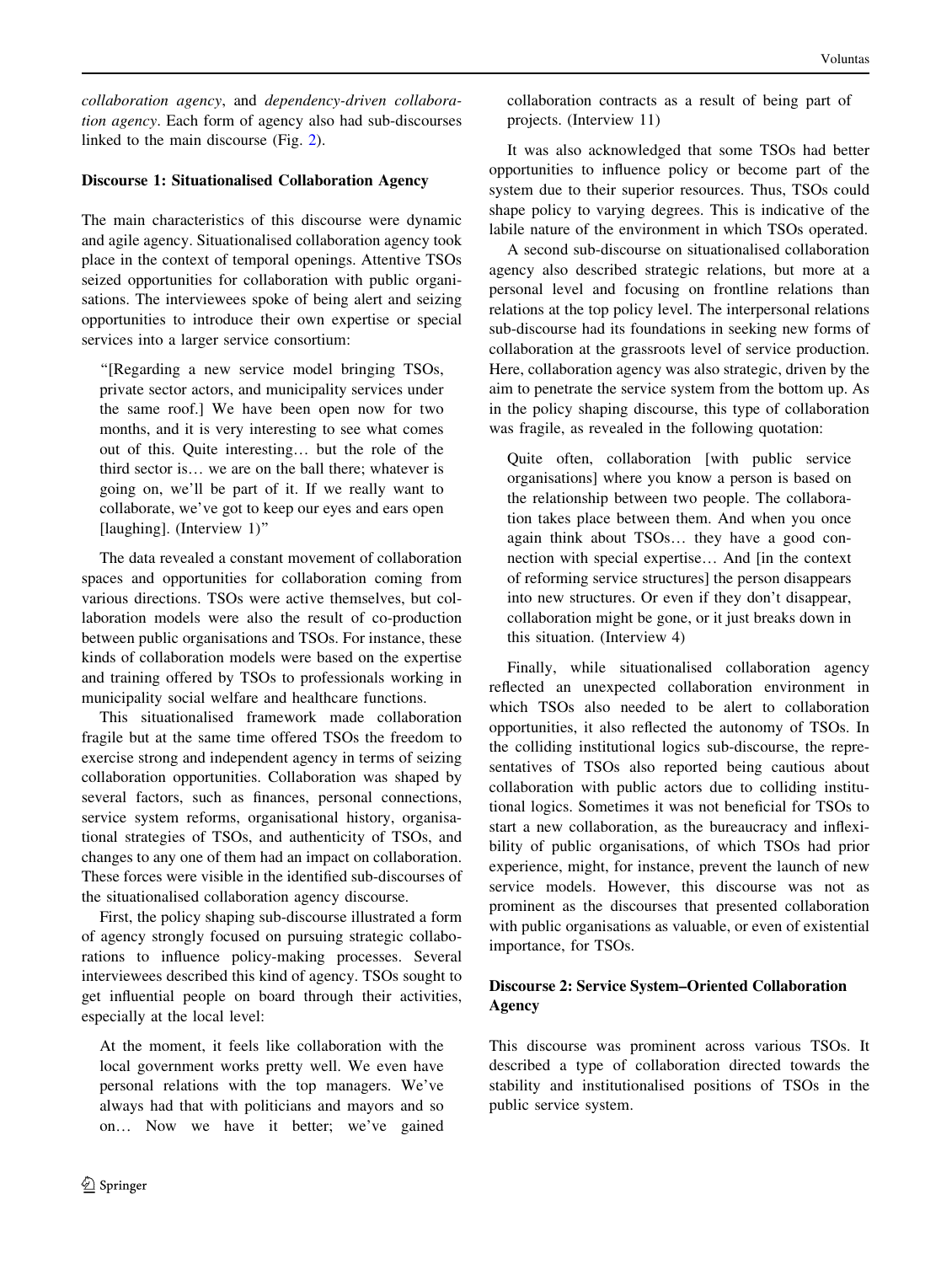collaboration agency, and dependency-driven collaboration agency. Each form of agency also had sub-discourses linked to the main discourse (Fig. [2\)](#page-4-0).

### Discourse 1: Situationalised Collaboration Agency

The main characteristics of this discourse were dynamic and agile agency. Situationalised collaboration agency took place in the context of temporal openings. Attentive TSOs seized opportunities for collaboration with public organisations. The interviewees spoke of being alert and seizing opportunities to introduce their own expertise or special services into a larger service consortium:

''[Regarding a new service model bringing TSOs, private sector actors, and municipality services under the same roof.] We have been open now for two months, and it is very interesting to see what comes out of this. Quite interesting… but the role of the third sector is… we are on the ball there; whatever is going on, we'll be part of it. If we really want to collaborate, we've got to keep our eyes and ears open [laughing]. (Interview 1)''

The data revealed a constant movement of collaboration spaces and opportunities for collaboration coming from various directions. TSOs were active themselves, but collaboration models were also the result of co-production between public organisations and TSOs. For instance, these kinds of collaboration models were based on the expertise and training offered by TSOs to professionals working in municipality social welfare and healthcare functions.

This situationalised framework made collaboration fragile but at the same time offered TSOs the freedom to exercise strong and independent agency in terms of seizing collaboration opportunities. Collaboration was shaped by several factors, such as finances, personal connections, service system reforms, organisational history, organisational strategies of TSOs, and authenticity of TSOs, and changes to any one of them had an impact on collaboration. These forces were visible in the identified sub-discourses of the situationalised collaboration agency discourse.

First, the policy shaping sub-discourse illustrated a form of agency strongly focused on pursuing strategic collaborations to influence policy-making processes. Several interviewees described this kind of agency. TSOs sought to get influential people on board through their activities, especially at the local level:

At the moment, it feels like collaboration with the local government works pretty well. We even have personal relations with the top managers. We've always had that with politicians and mayors and so on… Now we have it better; we've gained collaboration contracts as a result of being part of projects. (Interview 11)

It was also acknowledged that some TSOs had better opportunities to influence policy or become part of the system due to their superior resources. Thus, TSOs could shape policy to varying degrees. This is indicative of the labile nature of the environment in which TSOs operated.

A second sub-discourse on situationalised collaboration agency also described strategic relations, but more at a personal level and focusing on frontline relations than relations at the top policy level. The interpersonal relations sub-discourse had its foundations in seeking new forms of collaboration at the grassroots level of service production. Here, collaboration agency was also strategic, driven by the aim to penetrate the service system from the bottom up. As in the policy shaping discourse, this type of collaboration was fragile, as revealed in the following quotation:

Quite often, collaboration [with public service organisations] where you know a person is based on the relationship between two people. The collaboration takes place between them. And when you once again think about TSOs… they have a good connection with special expertise… And [in the context of reforming service structures] the person disappears into new structures. Or even if they don't disappear, collaboration might be gone, or it just breaks down in this situation. (Interview 4)

Finally, while situationalised collaboration agency reflected an unexpected collaboration environment in which TSOs also needed to be alert to collaboration opportunities, it also reflected the autonomy of TSOs. In the colliding institutional logics sub-discourse, the representatives of TSOs also reported being cautious about collaboration with public actors due to colliding institutional logics. Sometimes it was not beneficial for TSOs to start a new collaboration, as the bureaucracy and inflexibility of public organisations, of which TSOs had prior experience, might, for instance, prevent the launch of new service models. However, this discourse was not as prominent as the discourses that presented collaboration with public organisations as valuable, or even of existential importance, for TSOs.

# Discourse 2: Service System–Oriented Collaboration Agency

This discourse was prominent across various TSOs. It described a type of collaboration directed towards the stability and institutionalised positions of TSOs in the public service system.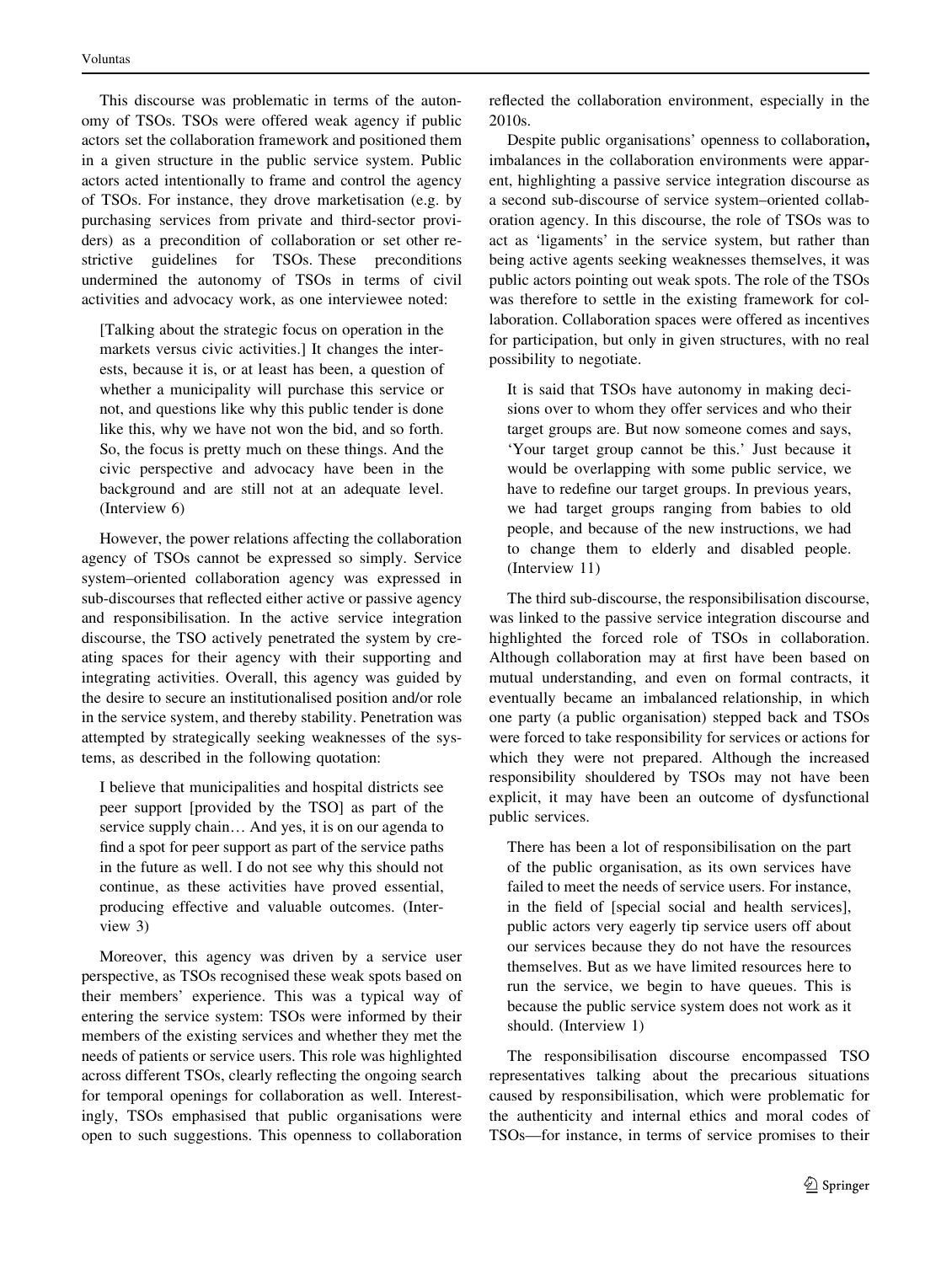This discourse was problematic in terms of the autonomy of TSOs. TSOs were offered weak agency if public actors set the collaboration framework and positioned them in a given structure in the public service system. Public actors acted intentionally to frame and control the agency of TSOs. For instance, they drove marketisation (e.g. by purchasing services from private and third-sector providers) as a precondition of collaboration or set other restrictive guidelines for TSOs. These preconditions undermined the autonomy of TSOs in terms of civil activities and advocacy work, as one interviewee noted:

[Talking about the strategic focus on operation in the markets versus civic activities.] It changes the interests, because it is, or at least has been, a question of whether a municipality will purchase this service or not, and questions like why this public tender is done like this, why we have not won the bid, and so forth. So, the focus is pretty much on these things. And the civic perspective and advocacy have been in the background and are still not at an adequate level. (Interview 6)

However, the power relations affecting the collaboration agency of TSOs cannot be expressed so simply. Service system–oriented collaboration agency was expressed in sub-discourses that reflected either active or passive agency and responsibilisation. In the active service integration discourse, the TSO actively penetrated the system by creating spaces for their agency with their supporting and integrating activities. Overall, this agency was guided by the desire to secure an institutionalised position and/or role in the service system, and thereby stability. Penetration was attempted by strategically seeking weaknesses of the systems, as described in the following quotation:

I believe that municipalities and hospital districts see peer support [provided by the TSO] as part of the service supply chain… And yes, it is on our agenda to find a spot for peer support as part of the service paths in the future as well. I do not see why this should not continue, as these activities have proved essential, producing effective and valuable outcomes. (Interview 3)

Moreover, this agency was driven by a service user perspective, as TSOs recognised these weak spots based on their members' experience. This was a typical way of entering the service system: TSOs were informed by their members of the existing services and whether they met the needs of patients or service users. This role was highlighted across different TSOs, clearly reflecting the ongoing search for temporal openings for collaboration as well. Interestingly, TSOs emphasised that public organisations were open to such suggestions. This openness to collaboration reflected the collaboration environment, especially in the 2010s.

Despite public organisations' openness to collaboration, imbalances in the collaboration environments were apparent, highlighting a passive service integration discourse as a second sub-discourse of service system–oriented collaboration agency. In this discourse, the role of TSOs was to act as 'ligaments' in the service system, but rather than being active agents seeking weaknesses themselves, it was public actors pointing out weak spots. The role of the TSOs was therefore to settle in the existing framework for collaboration. Collaboration spaces were offered as incentives for participation, but only in given structures, with no real possibility to negotiate.

It is said that TSOs have autonomy in making decisions over to whom they offer services and who their target groups are. But now someone comes and says, 'Your target group cannot be this.' Just because it would be overlapping with some public service, we have to redefine our target groups. In previous years, we had target groups ranging from babies to old people, and because of the new instructions, we had to change them to elderly and disabled people. (Interview 11)

The third sub-discourse, the responsibilisation discourse, was linked to the passive service integration discourse and highlighted the forced role of TSOs in collaboration. Although collaboration may at first have been based on mutual understanding, and even on formal contracts, it eventually became an imbalanced relationship, in which one party (a public organisation) stepped back and TSOs were forced to take responsibility for services or actions for which they were not prepared. Although the increased responsibility shouldered by TSOs may not have been explicit, it may have been an outcome of dysfunctional public services.

There has been a lot of responsibilisation on the part of the public organisation, as its own services have failed to meet the needs of service users. For instance, in the field of [special social and health services], public actors very eagerly tip service users off about our services because they do not have the resources themselves. But as we have limited resources here to run the service, we begin to have queues. This is because the public service system does not work as it should. (Interview 1)

The responsibilisation discourse encompassed TSO representatives talking about the precarious situations caused by responsibilisation, which were problematic for the authenticity and internal ethics and moral codes of TSOs—for instance, in terms of service promises to their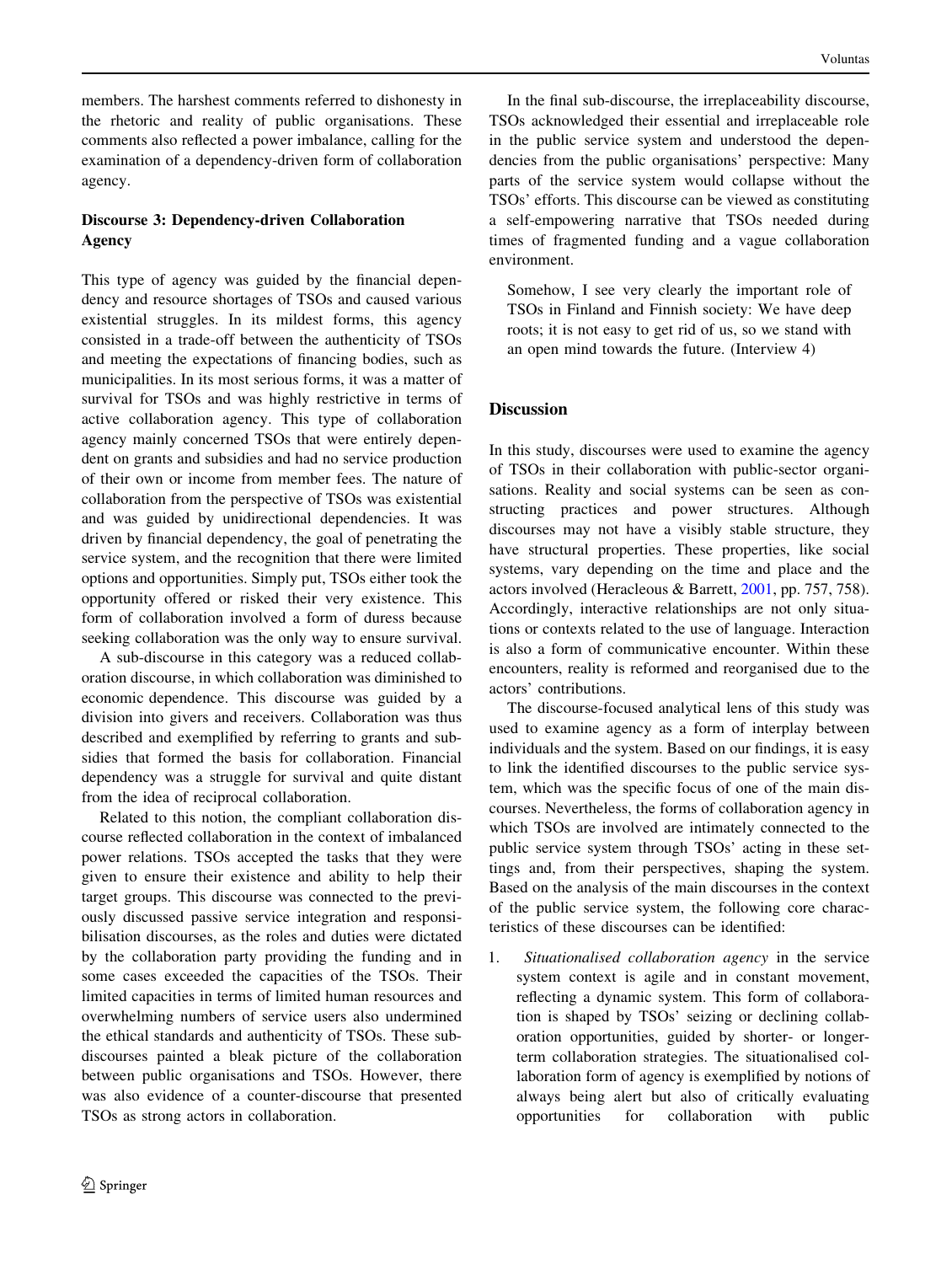members. The harshest comments referred to dishonesty in the rhetoric and reality of public organisations. These comments also reflected a power imbalance, calling for the examination of a dependency-driven form of collaboration agency.

# Discourse 3: Dependency-driven Collaboration Agency

This type of agency was guided by the financial dependency and resource shortages of TSOs and caused various existential struggles. In its mildest forms, this agency consisted in a trade-off between the authenticity of TSOs and meeting the expectations of financing bodies, such as municipalities. In its most serious forms, it was a matter of survival for TSOs and was highly restrictive in terms of active collaboration agency. This type of collaboration agency mainly concerned TSOs that were entirely dependent on grants and subsidies and had no service production of their own or income from member fees. The nature of collaboration from the perspective of TSOs was existential and was guided by unidirectional dependencies. It was driven by financial dependency, the goal of penetrating the service system, and the recognition that there were limited options and opportunities. Simply put, TSOs either took the opportunity offered or risked their very existence. This form of collaboration involved a form of duress because seeking collaboration was the only way to ensure survival.

A sub-discourse in this category was a reduced collaboration discourse, in which collaboration was diminished to economic dependence. This discourse was guided by a division into givers and receivers. Collaboration was thus described and exemplified by referring to grants and subsidies that formed the basis for collaboration. Financial dependency was a struggle for survival and quite distant from the idea of reciprocal collaboration.

Related to this notion, the compliant collaboration discourse reflected collaboration in the context of imbalanced power relations. TSOs accepted the tasks that they were given to ensure their existence and ability to help their target groups. This discourse was connected to the previously discussed passive service integration and responsibilisation discourses, as the roles and duties were dictated by the collaboration party providing the funding and in some cases exceeded the capacities of the TSOs. Their limited capacities in terms of limited human resources and overwhelming numbers of service users also undermined the ethical standards and authenticity of TSOs. These subdiscourses painted a bleak picture of the collaboration between public organisations and TSOs. However, there was also evidence of a counter-discourse that presented TSOs as strong actors in collaboration.

In the final sub-discourse, the irreplaceability discourse, TSOs acknowledged their essential and irreplaceable role in the public service system and understood the dependencies from the public organisations' perspective: Many parts of the service system would collapse without the TSOs' efforts. This discourse can be viewed as constituting a self-empowering narrative that TSOs needed during times of fragmented funding and a vague collaboration environment.

Somehow, I see very clearly the important role of TSOs in Finland and Finnish society: We have deep roots; it is not easy to get rid of us, so we stand with an open mind towards the future. (Interview 4)

# **Discussion**

In this study, discourses were used to examine the agency of TSOs in their collaboration with public-sector organisations. Reality and social systems can be seen as constructing practices and power structures. Although discourses may not have a visibly stable structure, they have structural properties. These properties, like social systems, vary depending on the time and place and the actors involved (Heracleous & Barrett, [2001,](#page-10-0) pp. 757, 758). Accordingly, interactive relationships are not only situations or contexts related to the use of language. Interaction is also a form of communicative encounter. Within these encounters, reality is reformed and reorganised due to the actors' contributions.

The discourse-focused analytical lens of this study was used to examine agency as a form of interplay between individuals and the system. Based on our findings, it is easy to link the identified discourses to the public service system, which was the specific focus of one of the main discourses. Nevertheless, the forms of collaboration agency in which TSOs are involved are intimately connected to the public service system through TSOs' acting in these settings and, from their perspectives, shaping the system. Based on the analysis of the main discourses in the context of the public service system, the following core characteristics of these discourses can be identified:

1. Situationalised collaboration agency in the service system context is agile and in constant movement, reflecting a dynamic system. This form of collaboration is shaped by TSOs' seizing or declining collaboration opportunities, guided by shorter- or longerterm collaboration strategies. The situationalised collaboration form of agency is exemplified by notions of always being alert but also of critically evaluating opportunities for collaboration with public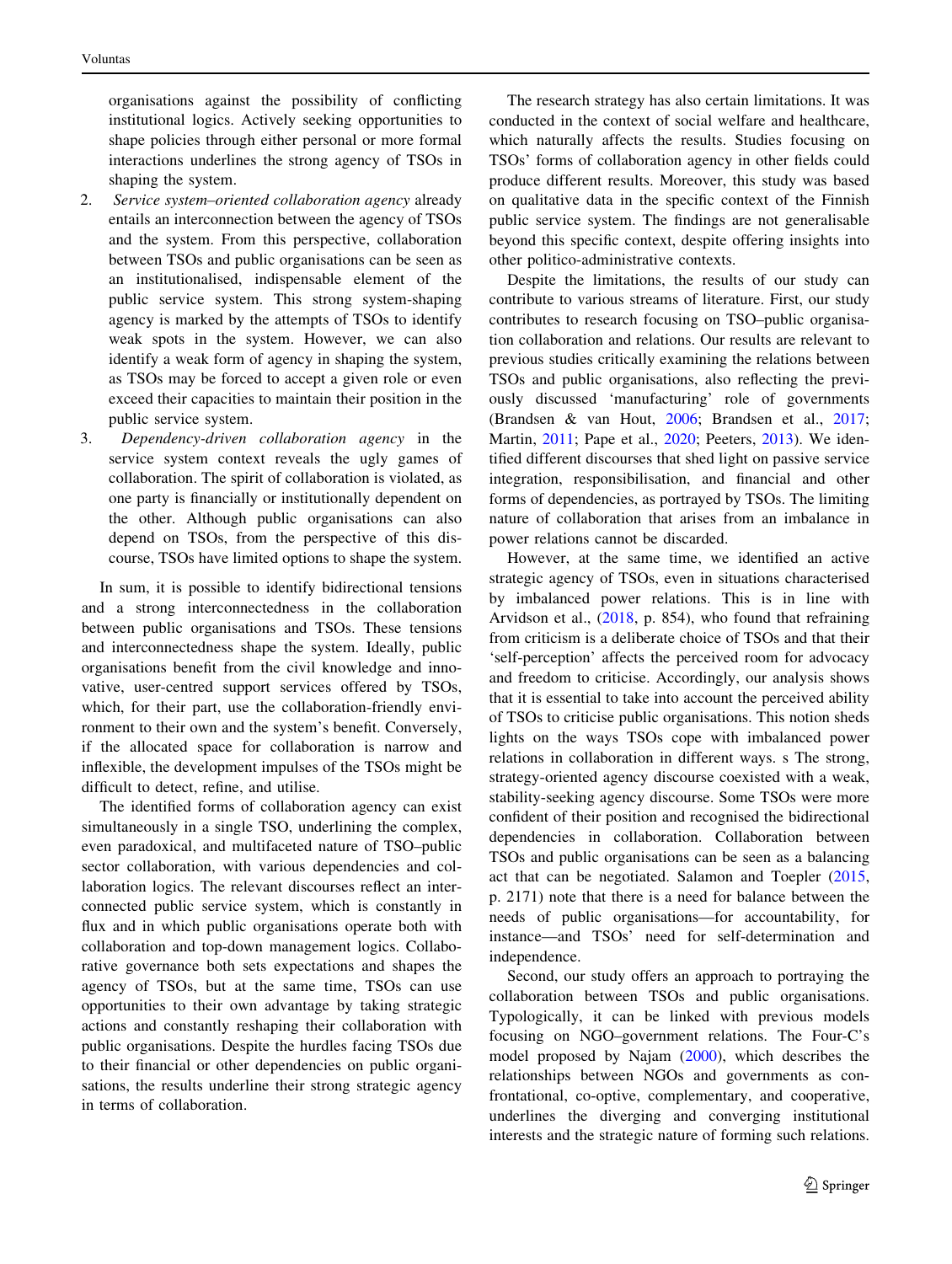organisations against the possibility of conflicting institutional logics. Actively seeking opportunities to shape policies through either personal or more formal interactions underlines the strong agency of TSOs in shaping the system.

- 2. Service system–oriented collaboration agency already entails an interconnection between the agency of TSOs and the system. From this perspective, collaboration between TSOs and public organisations can be seen as an institutionalised, indispensable element of the public service system. This strong system-shaping agency is marked by the attempts of TSOs to identify weak spots in the system. However, we can also identify a weak form of agency in shaping the system, as TSOs may be forced to accept a given role or even exceed their capacities to maintain their position in the public service system.
- 3. Dependency-driven collaboration agency in the service system context reveals the ugly games of collaboration. The spirit of collaboration is violated, as one party is financially or institutionally dependent on the other. Although public organisations can also depend on TSOs, from the perspective of this discourse, TSOs have limited options to shape the system.

In sum, it is possible to identify bidirectional tensions and a strong interconnectedness in the collaboration between public organisations and TSOs. These tensions and interconnectedness shape the system. Ideally, public organisations benefit from the civil knowledge and innovative, user-centred support services offered by TSOs, which, for their part, use the collaboration-friendly environment to their own and the system's benefit. Conversely, if the allocated space for collaboration is narrow and inflexible, the development impulses of the TSOs might be difficult to detect, refine, and utilise.

The identified forms of collaboration agency can exist simultaneously in a single TSO, underlining the complex, even paradoxical, and multifaceted nature of TSO–public sector collaboration, with various dependencies and collaboration logics. The relevant discourses reflect an interconnected public service system, which is constantly in flux and in which public organisations operate both with collaboration and top-down management logics. Collaborative governance both sets expectations and shapes the agency of TSOs, but at the same time, TSOs can use opportunities to their own advantage by taking strategic actions and constantly reshaping their collaboration with public organisations. Despite the hurdles facing TSOs due to their financial or other dependencies on public organisations, the results underline their strong strategic agency in terms of collaboration.

The research strategy has also certain limitations. It was conducted in the context of social welfare and healthcare, which naturally affects the results. Studies focusing on TSOs' forms of collaboration agency in other fields could produce different results. Moreover, this study was based on qualitative data in the specific context of the Finnish public service system. The findings are not generalisable beyond this specific context, despite offering insights into other politico-administrative contexts.

Despite the limitations, the results of our study can contribute to various streams of literature. First, our study contributes to research focusing on TSO–public organisation collaboration and relations. Our results are relevant to previous studies critically examining the relations between TSOs and public organisations, also reflecting the previously discussed 'manufacturing' role of governments (Brandsen & van Hout, [2006;](#page-10-0) Brandsen et al., [2017](#page-10-0); Martin, [2011](#page-11-0); Pape et al., [2020](#page-11-0); Peeters, [2013\)](#page-11-0). We identified different discourses that shed light on passive service integration, responsibilisation, and financial and other forms of dependencies, as portrayed by TSOs. The limiting nature of collaboration that arises from an imbalance in power relations cannot be discarded.

However, at the same time, we identified an active strategic agency of TSOs, even in situations characterised by imbalanced power relations. This is in line with Arvidson et al., ([2018,](#page-10-0) p. 854), who found that refraining from criticism is a deliberate choice of TSOs and that their 'self-perception' affects the perceived room for advocacy and freedom to criticise. Accordingly, our analysis shows that it is essential to take into account the perceived ability of TSOs to criticise public organisations. This notion sheds lights on the ways TSOs cope with imbalanced power relations in collaboration in different ways. s The strong, strategy-oriented agency discourse coexisted with a weak, stability-seeking agency discourse. Some TSOs were more confident of their position and recognised the bidirectional dependencies in collaboration. Collaboration between TSOs and public organisations can be seen as a balancing act that can be negotiated. Salamon and Toepler ([2015,](#page-11-0) p. 2171) note that there is a need for balance between the needs of public organisations—for accountability, for instance—and TSOs' need for self-determination and independence.

Second, our study offers an approach to portraying the collaboration between TSOs and public organisations. Typologically, it can be linked with previous models focusing on NGO–government relations. The Four-C's model proposed by Najam ([2000\)](#page-11-0), which describes the relationships between NGOs and governments as confrontational, co-optive, complementary, and cooperative, underlines the diverging and converging institutional interests and the strategic nature of forming such relations.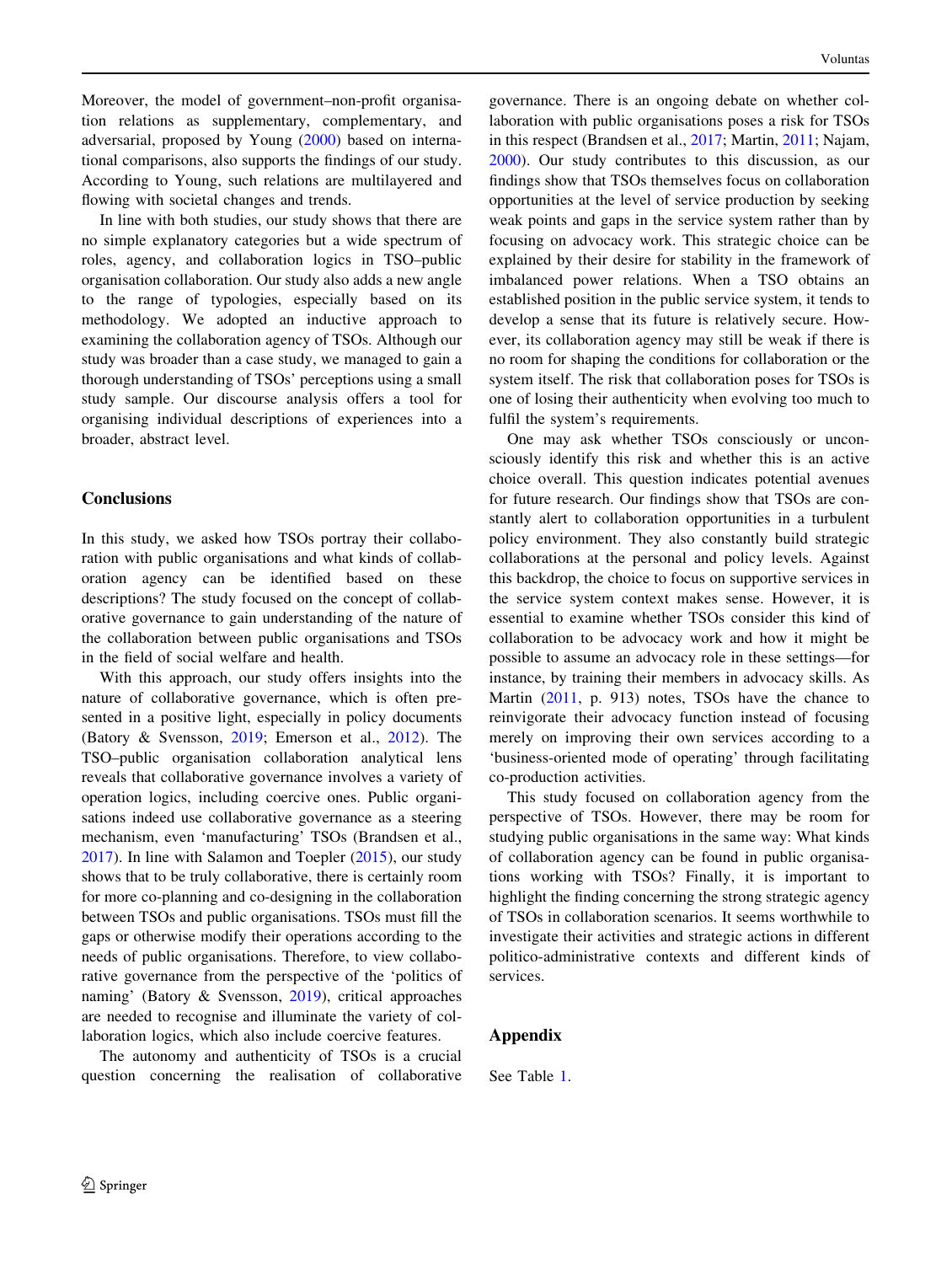Moreover, the model of government–non-profit organisation relations as supplementary, complementary, and adversarial, proposed by Young [\(2000](#page-11-0)) based on international comparisons, also supports the findings of our study. According to Young, such relations are multilayered and flowing with societal changes and trends.

In line with both studies, our study shows that there are no simple explanatory categories but a wide spectrum of roles, agency, and collaboration logics in TSO–public organisation collaboration. Our study also adds a new angle to the range of typologies, especially based on its methodology. We adopted an inductive approach to examining the collaboration agency of TSOs. Although our study was broader than a case study, we managed to gain a thorough understanding of TSOs' perceptions using a small study sample. Our discourse analysis offers a tool for organising individual descriptions of experiences into a broader, abstract level.

### **Conclusions**

In this study, we asked how TSOs portray their collaboration with public organisations and what kinds of collaboration agency can be identified based on these descriptions? The study focused on the concept of collaborative governance to gain understanding of the nature of the collaboration between public organisations and TSOs in the field of social welfare and health.

With this approach, our study offers insights into the nature of collaborative governance, which is often presented in a positive light, especially in policy documents (Batory & Svensson, [2019;](#page-10-0) Emerson et al., [2012\)](#page-10-0). The TSO–public organisation collaboration analytical lens reveals that collaborative governance involves a variety of operation logics, including coercive ones. Public organisations indeed use collaborative governance as a steering mechanism, even 'manufacturing' TSOs (Brandsen et al., [2017\)](#page-10-0). In line with Salamon and Toepler ([2015\)](#page-11-0), our study shows that to be truly collaborative, there is certainly room for more co-planning and co-designing in the collaboration between TSOs and public organisations. TSOs must fill the gaps or otherwise modify their operations according to the needs of public organisations. Therefore, to view collaborative governance from the perspective of the 'politics of naming' (Batory & Svensson, [2019](#page-10-0)), critical approaches are needed to recognise and illuminate the variety of collaboration logics, which also include coercive features.

The autonomy and authenticity of TSOs is a crucial question concerning the realisation of collaborative governance. There is an ongoing debate on whether collaboration with public organisations poses a risk for TSOs in this respect (Brandsen et al., [2017](#page-10-0); Martin, [2011;](#page-11-0) Najam, [2000](#page-11-0)). Our study contributes to this discussion, as our findings show that TSOs themselves focus on collaboration opportunities at the level of service production by seeking weak points and gaps in the service system rather than by focusing on advocacy work. This strategic choice can be explained by their desire for stability in the framework of imbalanced power relations. When a TSO obtains an established position in the public service system, it tends to develop a sense that its future is relatively secure. However, its collaboration agency may still be weak if there is no room for shaping the conditions for collaboration or the system itself. The risk that collaboration poses for TSOs is one of losing their authenticity when evolving too much to fulfil the system's requirements.

One may ask whether TSOs consciously or unconsciously identify this risk and whether this is an active choice overall. This question indicates potential avenues for future research. Our findings show that TSOs are constantly alert to collaboration opportunities in a turbulent policy environment. They also constantly build strategic collaborations at the personal and policy levels. Against this backdrop, the choice to focus on supportive services in the service system context makes sense. However, it is essential to examine whether TSOs consider this kind of collaboration to be advocacy work and how it might be possible to assume an advocacy role in these settings—for instance, by training their members in advocacy skills. As Martin ([2011,](#page-11-0) p. 913) notes, TSOs have the chance to reinvigorate their advocacy function instead of focusing merely on improving their own services according to a 'business-oriented mode of operating' through facilitating co-production activities.

This study focused on collaboration agency from the perspective of TSOs. However, there may be room for studying public organisations in the same way: What kinds of collaboration agency can be found in public organisations working with TSOs? Finally, it is important to highlight the finding concerning the strong strategic agency of TSOs in collaboration scenarios. It seems worthwhile to investigate their activities and strategic actions in different politico-administrative contexts and different kinds of services.

### Appendix

See Table [1](#page-10-0).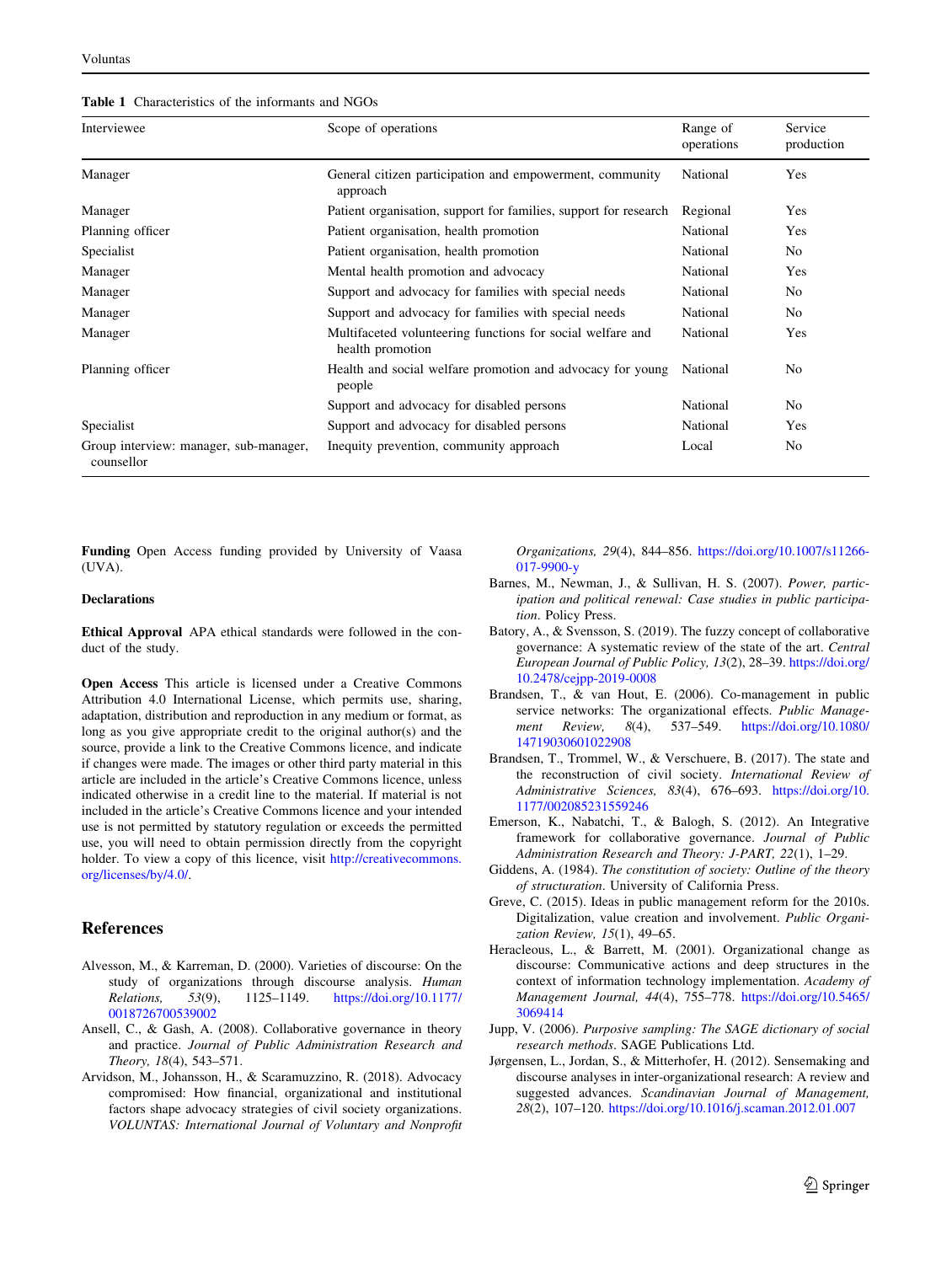<span id="page-10-0"></span>

|  | <b>Table 1</b> Characteristics of the informants and NGOs |  |  |  |
|--|-----------------------------------------------------------|--|--|--|
|--|-----------------------------------------------------------|--|--|--|

| Interviewee                                          | Scope of operations                                                            | Range of<br>operations | Service<br>production |
|------------------------------------------------------|--------------------------------------------------------------------------------|------------------------|-----------------------|
| Manager                                              | General citizen participation and empowerment, community<br>approach           | National               | Yes                   |
| Manager                                              | Patient organisation, support for families, support for research               | Regional               | Yes                   |
| Planning officer                                     | Patient organisation, health promotion                                         | National               | Yes                   |
| Specialist                                           | Patient organisation, health promotion                                         | National               | No                    |
| Manager                                              | Mental health promotion and advocacy                                           | National               | Yes                   |
| Manager                                              | Support and advocacy for families with special needs                           | National               | No                    |
| Manager                                              | Support and advocacy for families with special needs                           | National               | N <sub>o</sub>        |
| Manager                                              | Multifaceted volunteering functions for social welfare and<br>health promotion | National               | Yes                   |
| Planning officer                                     | Health and social welfare promotion and advocacy for young<br>people           | National               | No                    |
|                                                      | Support and advocacy for disabled persons                                      | National               | No.                   |
| Specialist                                           | Support and advocacy for disabled persons                                      | National               | Yes                   |
| Group interview: manager, sub-manager,<br>counsellor | Inequity prevention, community approach                                        | Local                  | No                    |

Funding Open Access funding provided by University of Vaasa (UVA).

#### Declarations

Ethical Approval APA ethical standards were followed in the conduct of the study.

Open Access This article is licensed under a Creative Commons Attribution 4.0 International License, which permits use, sharing, adaptation, distribution and reproduction in any medium or format, as long as you give appropriate credit to the original author(s) and the source, provide a link to the Creative Commons licence, and indicate if changes were made. The images or other third party material in this article are included in the article's Creative Commons licence, unless indicated otherwise in a credit line to the material. If material is not included in the article's Creative Commons licence and your intended use is not permitted by statutory regulation or exceeds the permitted use, you will need to obtain permission directly from the copyright holder. To view a copy of this licence, visit [http://creativecommons.](http://creativecommons.org/licenses/by/4.0/) [org/licenses/by/4.0/.](http://creativecommons.org/licenses/by/4.0/)

### References

- Alvesson, M., & Karreman, D. (2000). Varieties of discourse: On the study of organizations through discourse analysis. Human Relations, 53(9), 1125–1149. [https://doi.org/10.1177/](https://doi.org/10.1177/0018726700539002) [0018726700539002](https://doi.org/10.1177/0018726700539002)
- Ansell, C., & Gash, A. (2008). Collaborative governance in theory and practice. Journal of Public Administration Research and Theory, 18(4), 543–571.
- Arvidson, M., Johansson, H., & Scaramuzzino, R. (2018). Advocacy compromised: How financial, organizational and institutional factors shape advocacy strategies of civil society organizations. VOLUNTAS: International Journal of Voluntary and Nonprofit

Organizations, 29(4), 844–856. [https://doi.org/10.1007/s11266-](https://doi.org/10.1007/s11266-017-9900-y) [017-9900-y](https://doi.org/10.1007/s11266-017-9900-y)

- Barnes, M., Newman, J., & Sullivan, H. S. (2007). Power, participation and political renewal: Case studies in public participation. Policy Press.
- Batory, A., & Svensson, S. (2019). The fuzzy concept of collaborative governance: A systematic review of the state of the art. Central European Journal of Public Policy, 13(2), 28–39. [https://doi.org/](https://doi.org/10.2478/cejpp-2019-0008) [10.2478/cejpp-2019-0008](https://doi.org/10.2478/cejpp-2019-0008)
- Brandsen, T., & van Hout, E. (2006). Co-management in public service networks: The organizational effects. Public Management Review, 8(4), 537–549. [https://doi.org/10.1080/](https://doi.org/10.1080/14719030601022908) [14719030601022908](https://doi.org/10.1080/14719030601022908)
- Brandsen, T., Trommel, W., & Verschuere, B. (2017). The state and the reconstruction of civil society. International Review of Administrative Sciences, 83(4), 676–693. [https://doi.org/10.](https://doi.org/10.1177/002085231559246) [1177/002085231559246](https://doi.org/10.1177/002085231559246)
- Emerson, K., Nabatchi, T., & Balogh, S. (2012). An Integrative framework for collaborative governance. Journal of Public Administration Research and Theory: J-PART, 22(1), 1–29.
- Giddens, A. (1984). The constitution of society: Outline of the theory of structuration. University of California Press.
- Greve, C. (2015). Ideas in public management reform for the 2010s. Digitalization, value creation and involvement. Public Organization Review, 15(1), 49–65.
- Heracleous, L., & Barrett, M. (2001). Organizational change as discourse: Communicative actions and deep structures in the context of information technology implementation. Academy of Management Journal, 44(4), 755–778. [https://doi.org/10.5465/](https://doi.org/10.5465/3069414) [3069414](https://doi.org/10.5465/3069414)
- Jupp, V. (2006). Purposive sampling: The SAGE dictionary of social research methods. SAGE Publications Ltd.
- Jørgensen, L., Jordan, S., & Mitterhofer, H. (2012). Sensemaking and discourse analyses in inter-organizational research: A review and suggested advances. Scandinavian Journal of Management, 28(2), 107–120. <https://doi.org/10.1016/j.scaman.2012.01.007>